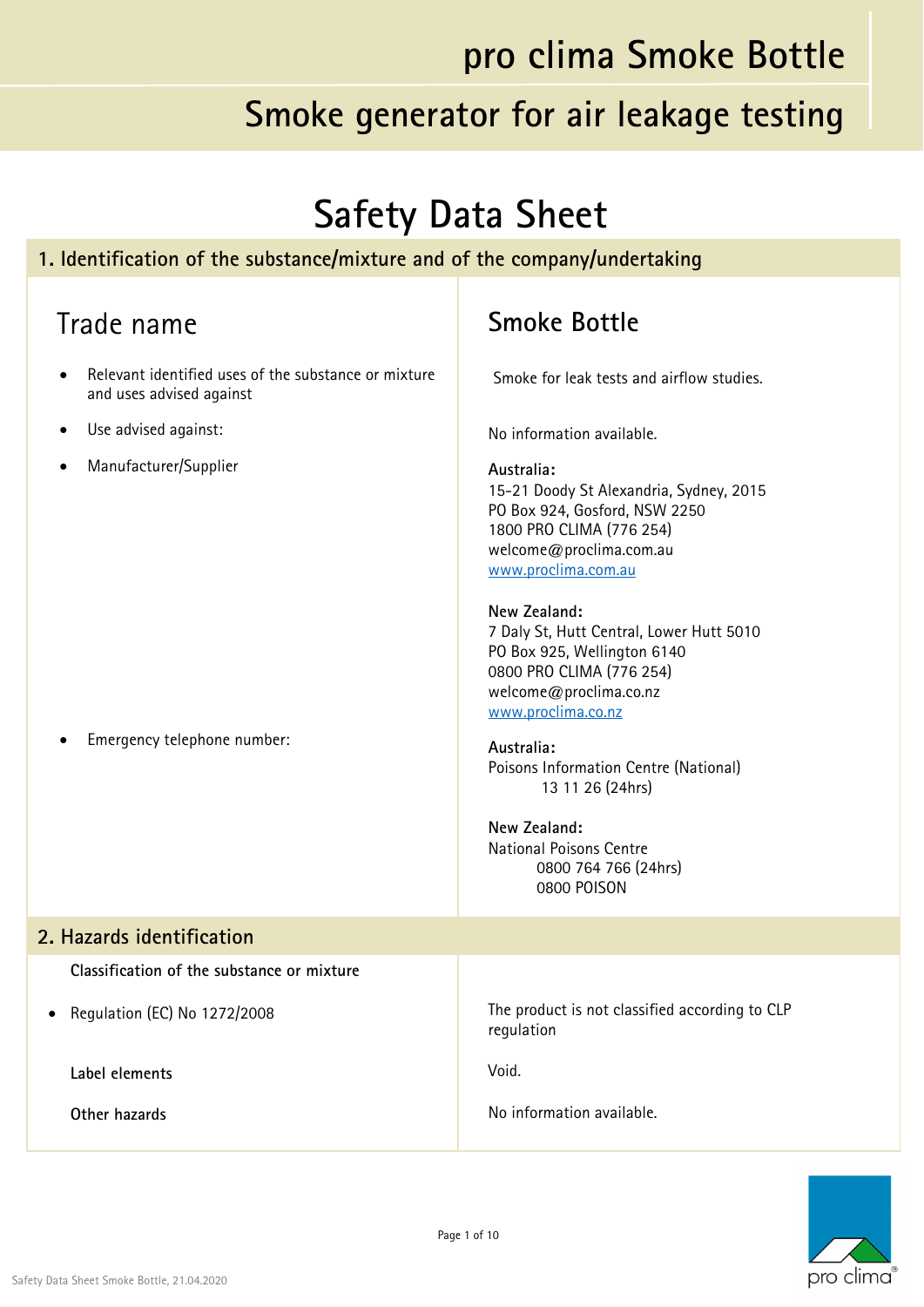#### **Smoke generator for air leakage testing**

## **Safety Data Sheet**

#### **1. Identification of the substance/mixture and of the company/undertaking**

| Trade name                                                                       | <b>Smoke Bottle</b>                                                                                                                                                                                                                                                                                                                                                                                                                                                                                             |
|----------------------------------------------------------------------------------|-----------------------------------------------------------------------------------------------------------------------------------------------------------------------------------------------------------------------------------------------------------------------------------------------------------------------------------------------------------------------------------------------------------------------------------------------------------------------------------------------------------------|
| Relevant identified uses of the substance or mixture<br>and uses advised against | Smoke for leak tests and airflow studies.                                                                                                                                                                                                                                                                                                                                                                                                                                                                       |
| Use advised against:                                                             | No information available.                                                                                                                                                                                                                                                                                                                                                                                                                                                                                       |
| Manufacturer/Supplier<br>Emergency telephone number:                             | Australia:<br>15-21 Doody St Alexandria, Sydney, 2015<br>PO Box 924, Gosford, NSW 2250<br>1800 PRO CLIMA (776 254)<br>welcome@proclima.com.au<br>www.proclima.com.au<br>New Zealand:<br>7 Daly St, Hutt Central, Lower Hutt 5010<br>PO Box 925, Wellington 6140<br>0800 PRO CLIMA (776 254)<br>welcome@proclima.co.nz<br>www.proclima.co.nz<br>Australia:<br>Poisons Information Centre (National)<br>13 11 26 (24hrs)<br>New Zealand:<br><b>National Poisons Centre</b><br>0800 764 766 (24hrs)<br>0800 POISON |
| 2. Hazards identification                                                        |                                                                                                                                                                                                                                                                                                                                                                                                                                                                                                                 |
| Classification of the substance or mixture                                       |                                                                                                                                                                                                                                                                                                                                                                                                                                                                                                                 |
| Regulation (EC) No 1272/2008                                                     | The product is not classified according to CLP<br>regulation                                                                                                                                                                                                                                                                                                                                                                                                                                                    |
| Label elements                                                                   | Void.                                                                                                                                                                                                                                                                                                                                                                                                                                                                                                           |
| Other hazards                                                                    | No information available.                                                                                                                                                                                                                                                                                                                                                                                                                                                                                       |

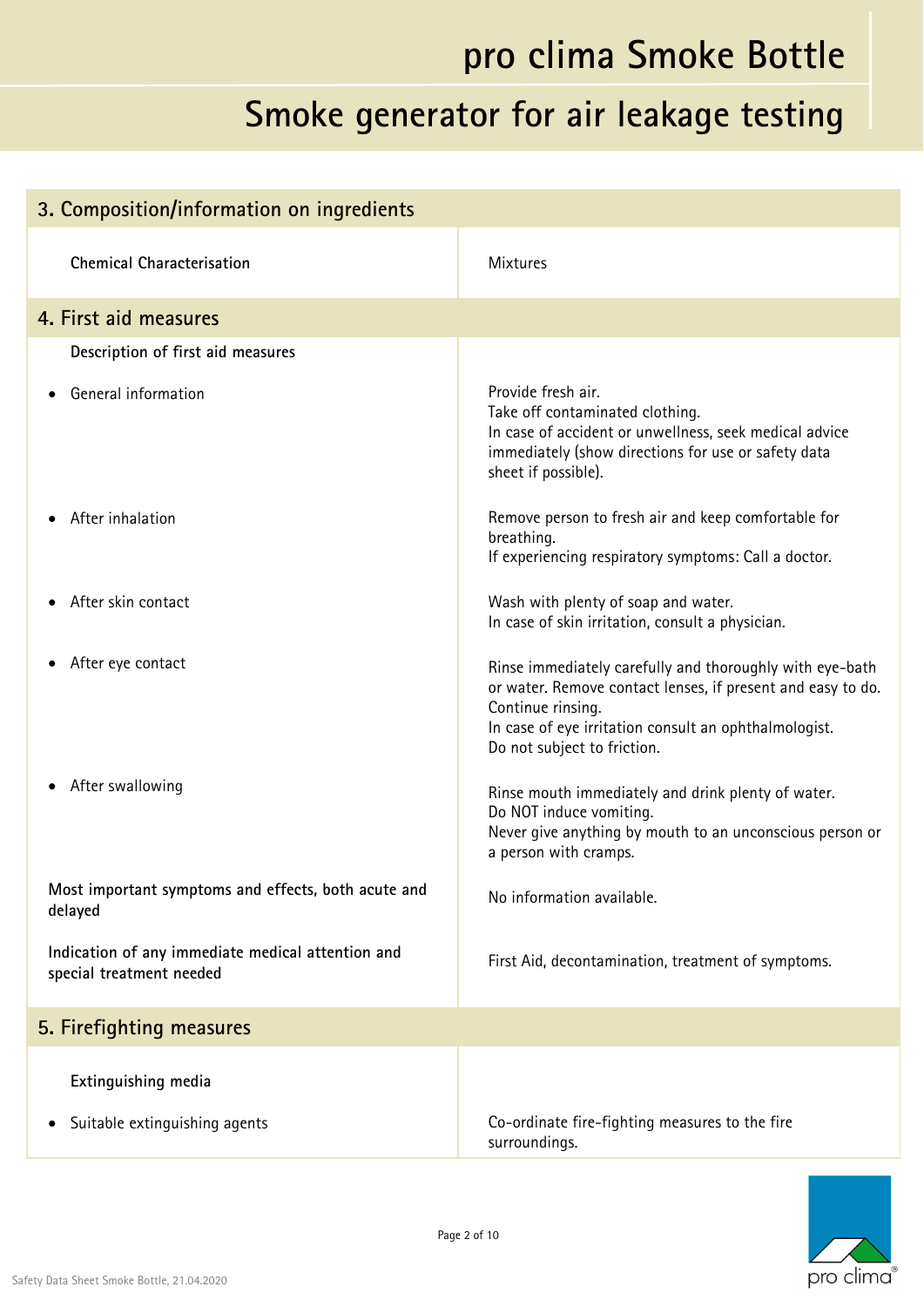| 3. Composition/information on ingredients                                     |                                                                                                                                                                                                                                      |
|-------------------------------------------------------------------------------|--------------------------------------------------------------------------------------------------------------------------------------------------------------------------------------------------------------------------------------|
| <b>Chemical Characterisation</b>                                              | <b>Mixtures</b>                                                                                                                                                                                                                      |
| 4. First aid measures                                                         |                                                                                                                                                                                                                                      |
| Description of first aid measures                                             |                                                                                                                                                                                                                                      |
| General information                                                           | Provide fresh air.<br>Take off contaminated clothing.<br>In case of accident or unwellness, seek medical advice<br>immediately (show directions for use or safety data<br>sheet if possible).                                        |
| After inhalation                                                              | Remove person to fresh air and keep comfortable for<br>breathing.<br>If experiencing respiratory symptoms: Call a doctor.                                                                                                            |
| After skin contact                                                            | Wash with plenty of soap and water.<br>In case of skin irritation, consult a physician.                                                                                                                                              |
| After eye contact                                                             | Rinse immediately carefully and thoroughly with eye-bath<br>or water. Remove contact lenses, if present and easy to do.<br>Continue rinsing.<br>In case of eye irritation consult an ophthalmologist.<br>Do not subject to friction. |
| After swallowing                                                              | Rinse mouth immediately and drink plenty of water.<br>Do NOT induce vomiting.<br>Never give anything by mouth to an unconscious person or<br>a person with cramps.                                                                   |
| Most important symptoms and effects, both acute and<br>delayed                | No information available.                                                                                                                                                                                                            |
| Indication of any immediate medical attention and<br>special treatment needed | First Aid, decontamination, treatment of symptoms.                                                                                                                                                                                   |
| 5. Firefighting measures                                                      |                                                                                                                                                                                                                                      |
| Extinguishing media<br>Suitable extinguishing agents                          | Co-ordinate fire-fighting measures to the fire                                                                                                                                                                                       |
|                                                                               | surroundings.                                                                                                                                                                                                                        |

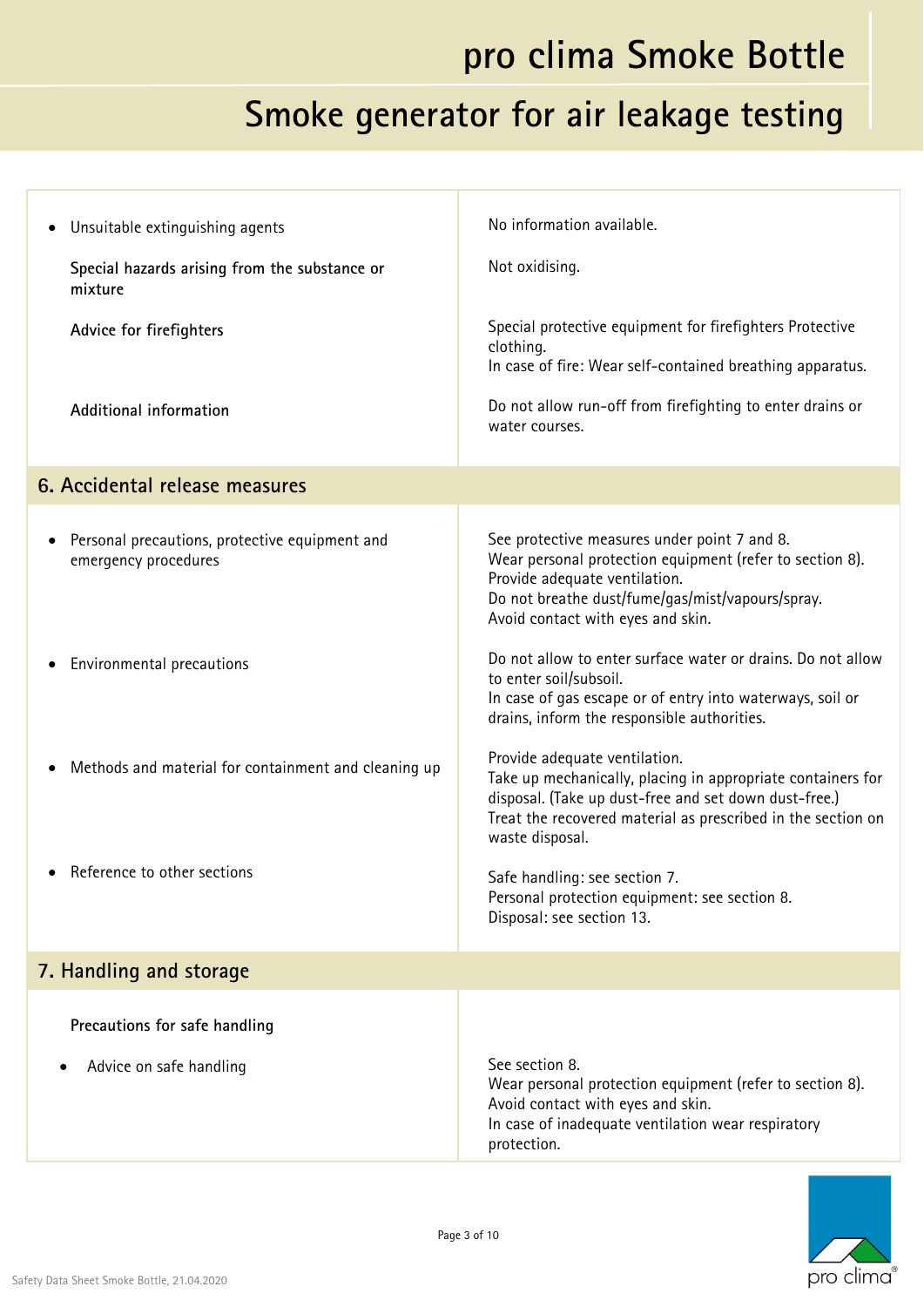| Unsuitable extinguishing agents<br>٠                                                | No information available.                                                                                                                                                                                                                |
|-------------------------------------------------------------------------------------|------------------------------------------------------------------------------------------------------------------------------------------------------------------------------------------------------------------------------------------|
| Special hazards arising from the substance or<br>mixture                            | Not oxidising.                                                                                                                                                                                                                           |
| Advice for firefighters                                                             | Special protective equipment for firefighters Protective<br>clothing.<br>In case of fire: Wear self-contained breathing apparatus.                                                                                                       |
| Additional information                                                              | Do not allow run-off from firefighting to enter drains or<br>water courses.                                                                                                                                                              |
| 6. Accidental release measures                                                      |                                                                                                                                                                                                                                          |
| Personal precautions, protective equipment and<br>$\bullet$<br>emergency procedures | See protective measures under point 7 and 8.<br>Wear personal protection equipment (refer to section 8).<br>Provide adequate ventilation.<br>Do not breathe dust/fume/gas/mist/vapours/spray.<br>Avoid contact with eyes and skin.       |
| Environmental precautions                                                           | Do not allow to enter surface water or drains. Do not allow<br>to enter soil/subsoil.<br>In case of gas escape or of entry into waterways, soil or<br>drains, inform the responsible authorities.                                        |
| Methods and material for containment and cleaning up                                | Provide adequate ventilation.<br>Take up mechanically, placing in appropriate containers for<br>disposal. (Take up dust-free and set down dust-free.)<br>Treat the recovered material as prescribed in the section on<br>waste disposal. |
| Reference to other sections                                                         | Safe handling: see section 7.<br>Personal protection equipment: see section 8.<br>Disposal: see section 13.                                                                                                                              |
| 7. Handling and storage                                                             |                                                                                                                                                                                                                                          |
| Precautions for safe handling                                                       |                                                                                                                                                                                                                                          |
| Advice on safe handling                                                             | See section 8.<br>Wear personal protection equipment (refer to section 8).<br>Avoid contact with eyes and skin.<br>In case of inadequate ventilation wear respiratory<br>protection.                                                     |

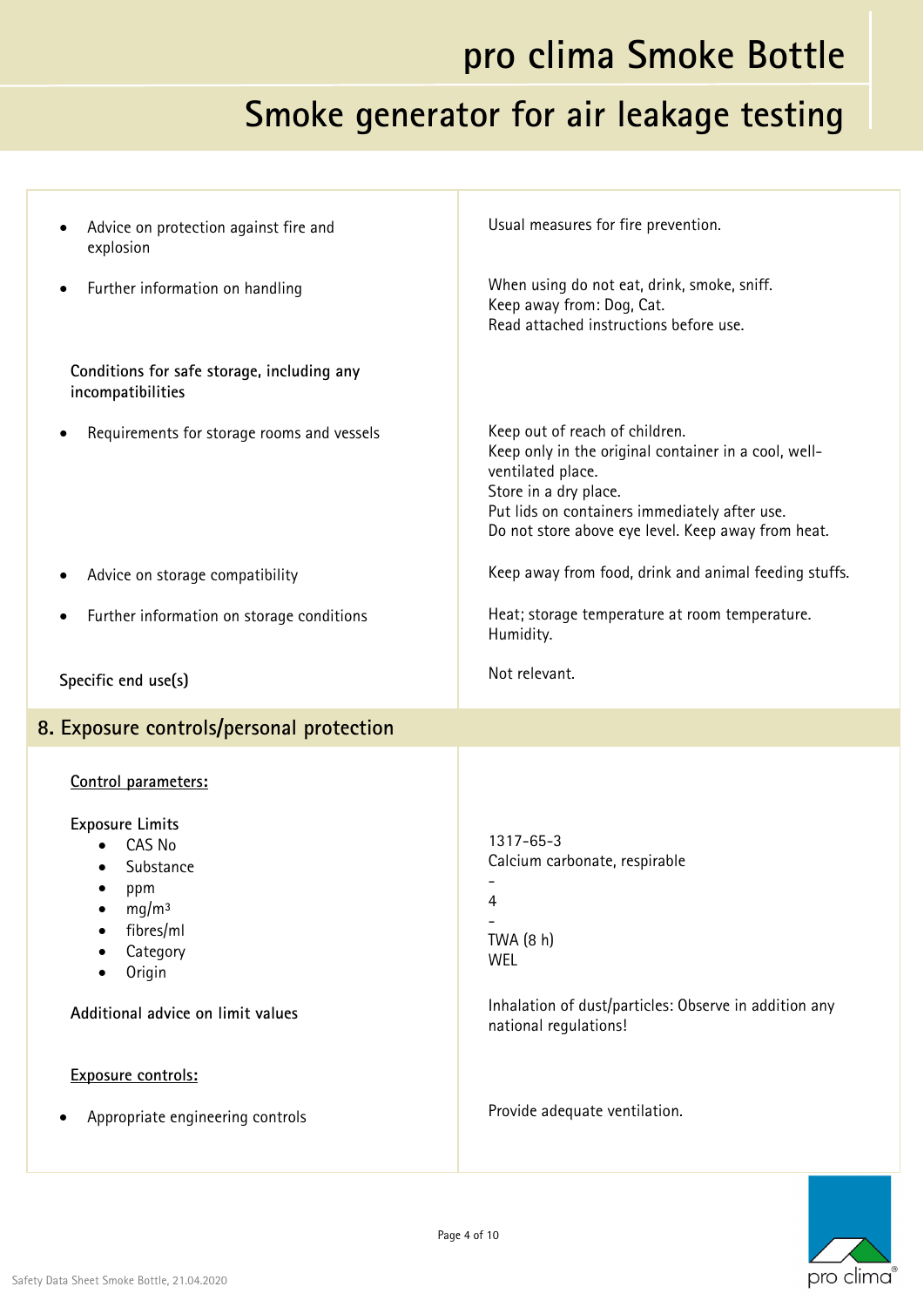| Advice on protection against fire and<br>explosion                                                                                                                                                               | Usual measures for fire prevention.                                                                                                                                                                                                         |
|------------------------------------------------------------------------------------------------------------------------------------------------------------------------------------------------------------------|---------------------------------------------------------------------------------------------------------------------------------------------------------------------------------------------------------------------------------------------|
| Further information on handling                                                                                                                                                                                  | When using do not eat, drink, smoke, sniff.<br>Keep away from: Dog, Cat.<br>Read attached instructions before use.                                                                                                                          |
| Conditions for safe storage, including any<br>incompatibilities                                                                                                                                                  |                                                                                                                                                                                                                                             |
| Requirements for storage rooms and vessels                                                                                                                                                                       | Keep out of reach of children.<br>Keep only in the original container in a cool, well-<br>ventilated place.<br>Store in a dry place.<br>Put lids on containers immediately after use.<br>Do not store above eye level. Keep away from heat. |
| Advice on storage compatibility                                                                                                                                                                                  | Keep away from food, drink and animal feeding stuffs.                                                                                                                                                                                       |
| Further information on storage conditions                                                                                                                                                                        | Heat; storage temperature at room temperature.<br>Humidity.                                                                                                                                                                                 |
| Specific end use(s)                                                                                                                                                                                              | Not relevant.                                                                                                                                                                                                                               |
|                                                                                                                                                                                                                  |                                                                                                                                                                                                                                             |
| 8. Exposure controls/personal protection                                                                                                                                                                         |                                                                                                                                                                                                                                             |
| Control parameters:                                                                                                                                                                                              |                                                                                                                                                                                                                                             |
| <b>Exposure Limits</b><br>CAS No<br>Substance<br>ppm<br>mg/m <sup>3</sup><br>٠<br>fibres/ml<br>Category<br>Origin<br>Additional advice on limit values<br>Exposure controls:<br>Appropriate engineering controls | 1317-65-3<br>Calcium carbonate, respirable<br>4<br>TWA (8 h)<br><b>WEL</b><br>Inhalation of dust/particles: Observe in addition any<br>national regulations!<br>Provide adequate ventilation.                                               |

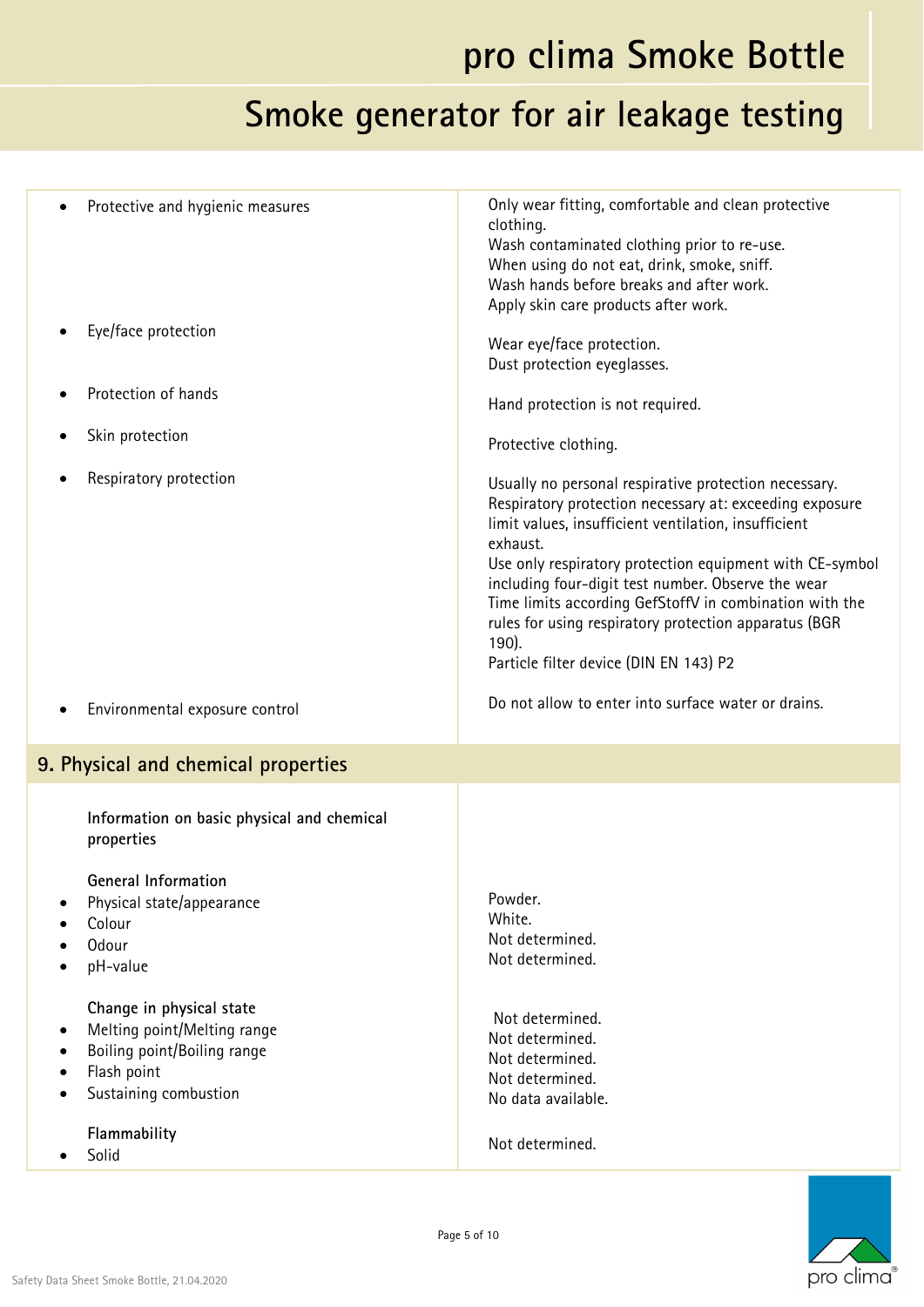| Protective and hygienic measures<br>Eye/face protection                                                                                                                 | Only wear fitting, comfortable and clean protective<br>clothing.<br>Wash contaminated clothing prior to re-use.<br>When using do not eat, drink, smoke, sniff.<br>Wash hands before breaks and after work.<br>Apply skin care products after work.<br>Wear eye/face protection.<br>Dust protection eyeglasses.                                                                                                                                                                |
|-------------------------------------------------------------------------------------------------------------------------------------------------------------------------|-------------------------------------------------------------------------------------------------------------------------------------------------------------------------------------------------------------------------------------------------------------------------------------------------------------------------------------------------------------------------------------------------------------------------------------------------------------------------------|
| Protection of hands                                                                                                                                                     | Hand protection is not required.                                                                                                                                                                                                                                                                                                                                                                                                                                              |
| Skin protection                                                                                                                                                         | Protective clothing.                                                                                                                                                                                                                                                                                                                                                                                                                                                          |
| Respiratory protection                                                                                                                                                  | Usually no personal respirative protection necessary.<br>Respiratory protection necessary at: exceeding exposure<br>limit values, insufficient ventilation, insufficient<br>exhaust.<br>Use only respiratory protection equipment with CE-symbol<br>including four-digit test number. Observe the wear<br>Time limits according GefStoffV in combination with the<br>rules for using respiratory protection apparatus (BGR<br>190).<br>Particle filter device (DIN EN 143) P2 |
| Environmental exposure control                                                                                                                                          | Do not allow to enter into surface water or drains.                                                                                                                                                                                                                                                                                                                                                                                                                           |
| 9. Physical and chemical properties                                                                                                                                     |                                                                                                                                                                                                                                                                                                                                                                                                                                                                               |
| Information on basic physical and chemical<br>properties<br>General Information<br>Physical state/appearance<br>Colour<br>Odour<br>pH-value<br>Change in physical state | Powder.<br>White.<br>Not determined.<br>Not determined.                                                                                                                                                                                                                                                                                                                                                                                                                       |
| Melting point/Melting range<br>Boiling point/Boiling range<br>Flash point<br>Sustaining combustion                                                                      | Not determined.<br>Not determined.<br>Not determined.<br>Not determined.<br>No data available.                                                                                                                                                                                                                                                                                                                                                                                |
| Flammability                                                                                                                                                            | Not determined.                                                                                                                                                                                                                                                                                                                                                                                                                                                               |

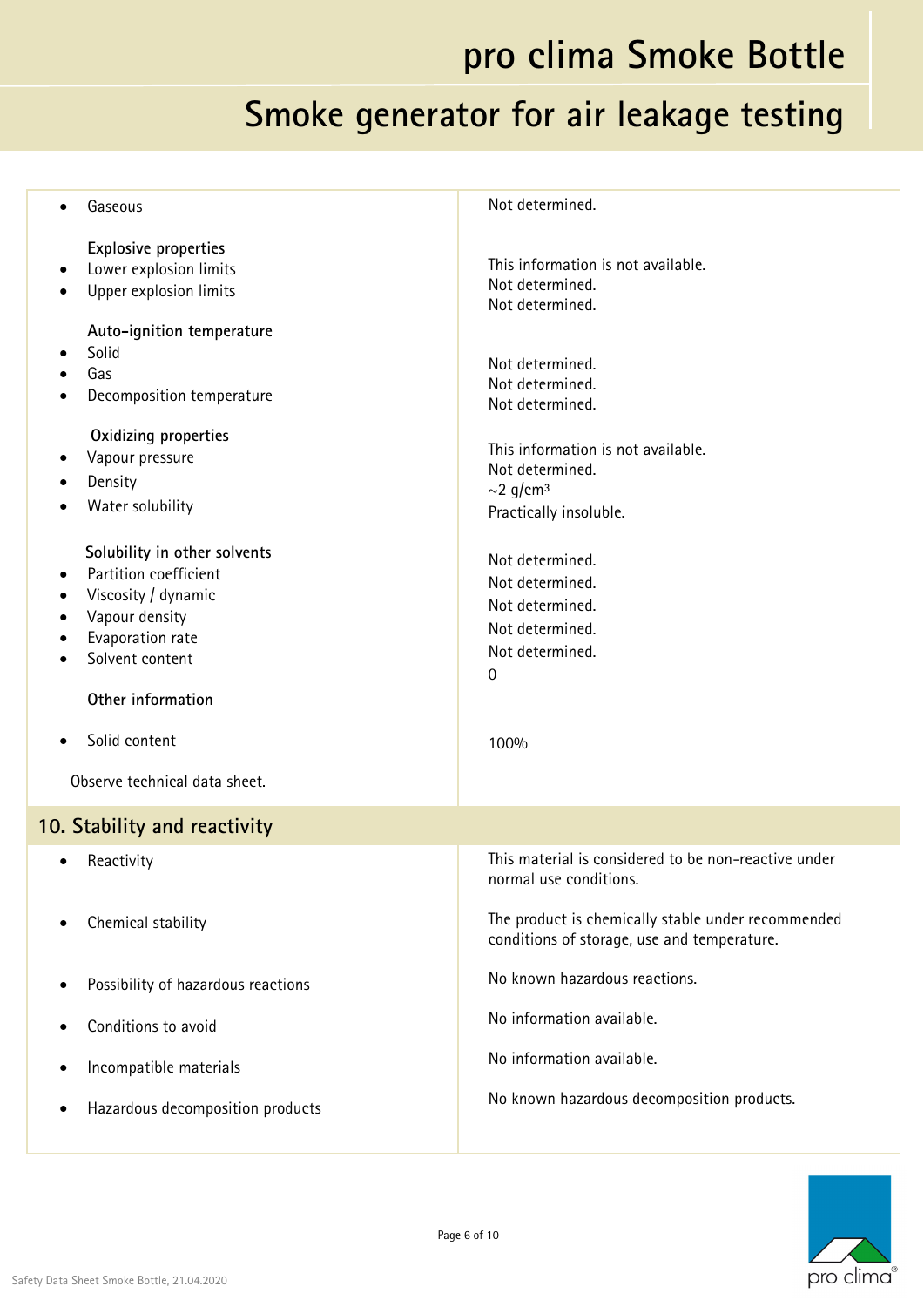| Gaseous                                                                                                                                                                                                                   | Not determined.                                                                                                                              |
|---------------------------------------------------------------------------------------------------------------------------------------------------------------------------------------------------------------------------|----------------------------------------------------------------------------------------------------------------------------------------------|
| <b>Explosive properties</b><br>Lower explosion limits<br>٠<br>Upper explosion limits<br>$\bullet$                                                                                                                         | This information is not available.<br>Not determined.<br>Not determined.                                                                     |
| Auto-ignition temperature<br>Solid<br>Gas<br>Decomposition temperature<br>Oxidizing properties<br>Vapour pressure<br>Density                                                                                              | Not determined.<br>Not determined.<br>Not determined.<br>This information is not available.<br>Not determined.<br>$\sim$ 2 g/cm <sup>3</sup> |
| Water solubility<br>Solubility in other solvents<br>Partition coefficient<br>Viscosity / dynamic<br>$\bullet$<br>Vapour density<br>Evaporation rate<br>Solvent content<br>$\bullet$<br>Other information<br>Solid content | Practically insoluble.<br>Not determined.<br>Not determined.<br>Not determined.<br>Not determined.<br>Not determined.<br>0<br>100%           |
| Observe technical data sheet.                                                                                                                                                                                             |                                                                                                                                              |
| 10. Stability and reactivity<br>Reactivity                                                                                                                                                                                | This material is considered to be non-reactive under<br>normal use conditions.                                                               |
| Chemical stability                                                                                                                                                                                                        | The product is chemically stable under recommended<br>conditions of storage, use and temperature.                                            |
| Possibility of hazardous reactions                                                                                                                                                                                        | No known hazardous reactions.                                                                                                                |
| Conditions to avoid                                                                                                                                                                                                       | No information available.                                                                                                                    |
| Incompatible materials                                                                                                                                                                                                    | No information available.                                                                                                                    |
| Hazardous decomposition products                                                                                                                                                                                          | No known hazardous decomposition products.                                                                                                   |

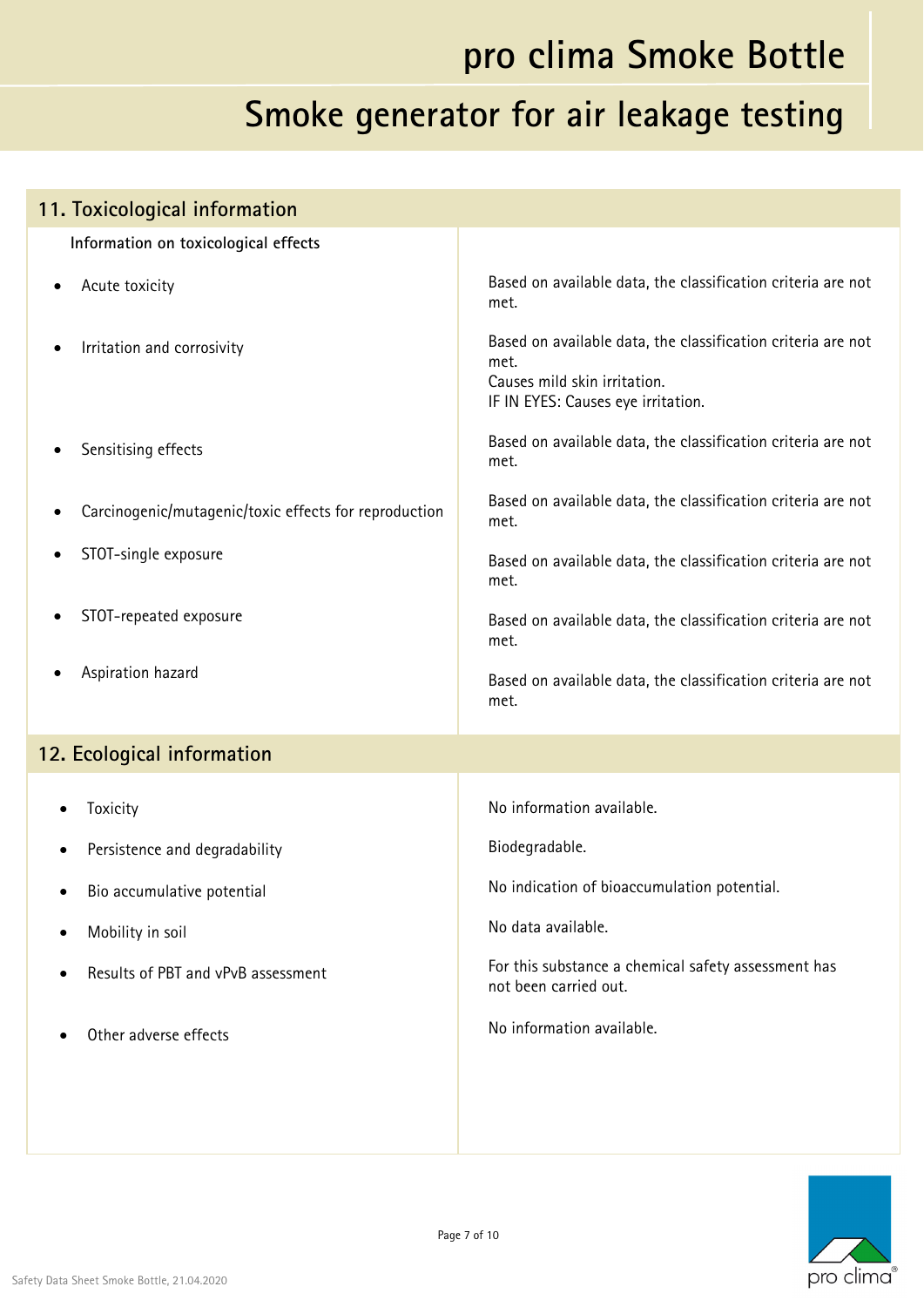| 11. Toxicological information                         |                                                                                                                                            |
|-------------------------------------------------------|--------------------------------------------------------------------------------------------------------------------------------------------|
| Information on toxicological effects                  |                                                                                                                                            |
| Acute toxicity                                        | Based on available data, the classification criteria are not<br>met.                                                                       |
| Irritation and corrosivity                            | Based on available data, the classification criteria are not<br>met.<br>Causes mild skin irritation.<br>IF IN EYES: Causes eye irritation. |
| Sensitising effects                                   | Based on available data, the classification criteria are not<br>met.                                                                       |
| Carcinogenic/mutagenic/toxic effects for reproduction | Based on available data, the classification criteria are not<br>met.                                                                       |
| STOT-single exposure                                  | Based on available data, the classification criteria are not<br>met.                                                                       |
| STOT-repeated exposure                                | Based on available data, the classification criteria are not<br>met.                                                                       |
| Aspiration hazard                                     | Based on available data, the classification criteria are not<br>met.                                                                       |
| 12. Ecological information                            |                                                                                                                                            |
| Toxicity                                              | No information available.                                                                                                                  |
| Persistence and degradability<br>$\bullet$            | Biodegradable.                                                                                                                             |
| Bio accumulative potential<br>٠                       | No indication of bioaccumulation potential.                                                                                                |
| Mobility in soil                                      | No data available.                                                                                                                         |
| Results of PBT and vPvB assessment<br>$\bullet$       | For this substance a chemical safety assessment has<br>not been carried out.                                                               |
| Other adverse effects                                 | No information available.                                                                                                                  |
|                                                       |                                                                                                                                            |

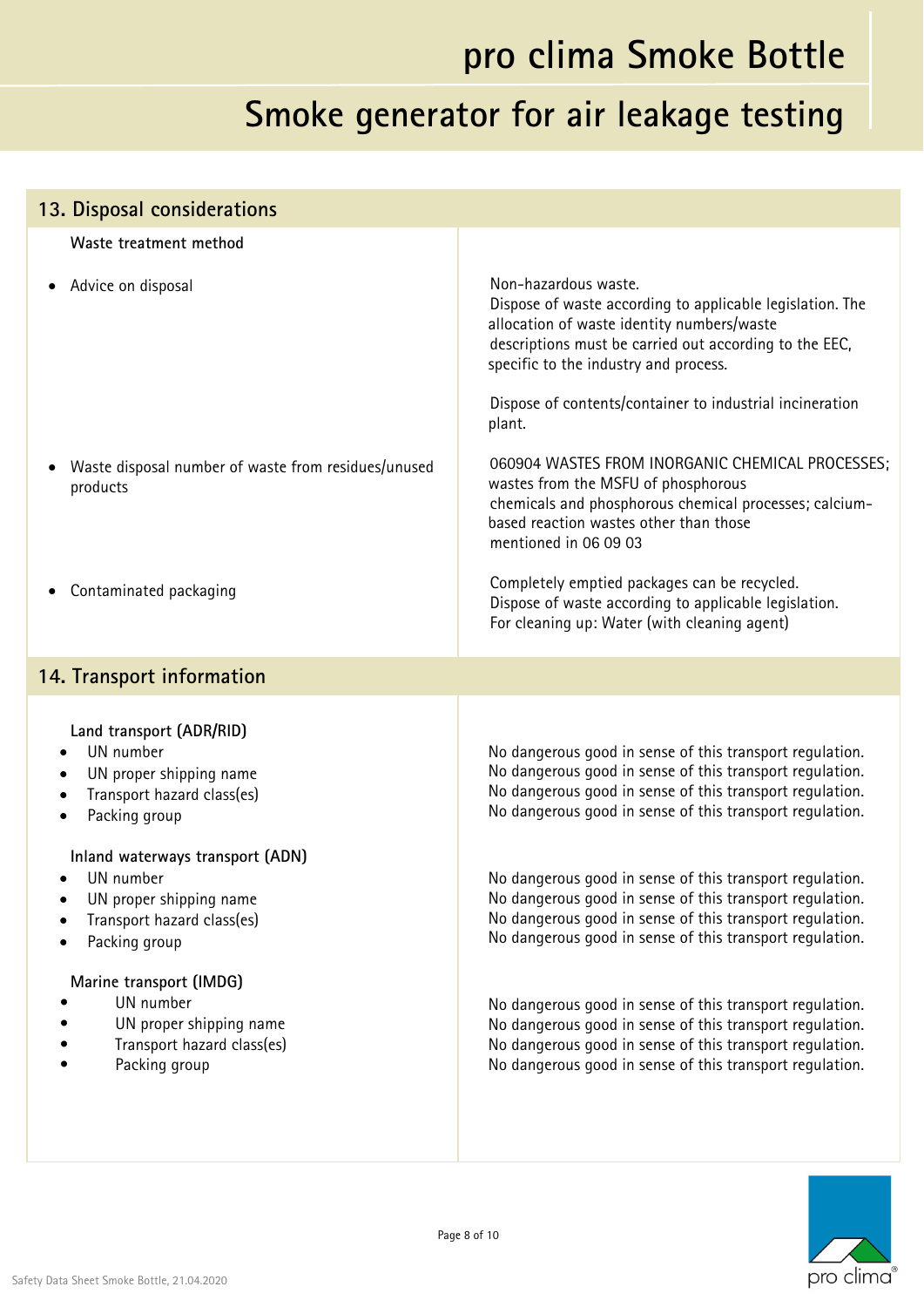#### **Smoke generator for air leakage testing**

#### **13. Disposal considerations Waste treatment method** Advice on disposal Waste disposal number of waste from residues/unused products Contaminated packaging Non-hazardous waste. Dispose of waste according to applicable legislation. The allocation of waste identity numbers/waste descriptions must be carried out according to the EEC, specific to the industry and process. Dispose of contents/container to industrial incineration plant. 060904 WASTES FROM INORGANIC CHEMICAL PROCESSES; wastes from the MSFU of phosphorous chemicals and phosphorous chemical processes; calciumbased reaction wastes other than those mentioned in 06 09 03 Completely emptied packages can be recycled. Dispose of waste according to applicable legislation. For cleaning up: Water (with cleaning agent) **14. Transport information Land transport (ADR/RID)**  UN number UN proper shipping name • Transport hazard class(es) Packing group **Inland waterways transport (ADN)**  UN number UN proper shipping name Transport hazard class(es) Packing group **Marine transport (IMDG) •** UN number **•** UN proper shipping name **•** Transport hazard class(es) **•** Packing group No dangerous good in sense of this transport regulation. No dangerous good in sense of this transport regulation. No dangerous good in sense of this transport regulation. No dangerous good in sense of this transport regulation. No dangerous good in sense of this transport regulation. No dangerous good in sense of this transport regulation. No dangerous good in sense of this transport regulation. No dangerous good in sense of this transport regulation. No dangerous good in sense of this transport regulation. No dangerous good in sense of this transport regulation. No dangerous good in sense of this transport regulation. No dangerous good in sense of this transport regulation.

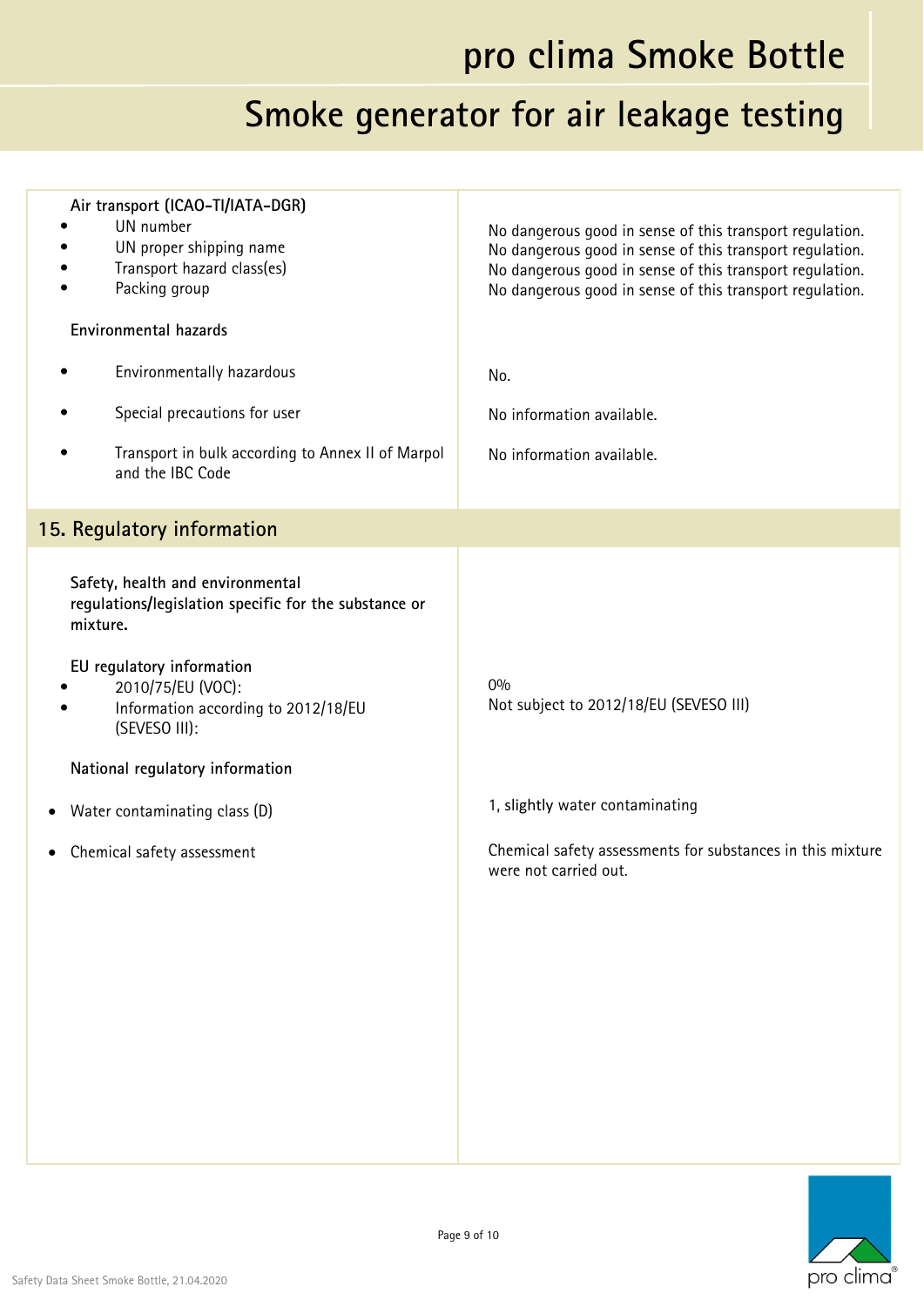| Air transport (ICAO-TI/IATA-DGR)<br>UN number<br>UN proper shipping name<br>Transport hazard class(es)<br>Packing group<br>Environmental hazards<br>Environmentally hazardous<br>Special precautions for user<br>Transport in bulk according to Annex II of Marpol<br>and the IBC Code                            | No dangerous good in sense of this transport regulation.<br>No dangerous good in sense of this transport regulation.<br>No dangerous good in sense of this transport regulation.<br>No dangerous good in sense of this transport regulation.<br>No.<br>No information available.<br>No information available. |
|-------------------------------------------------------------------------------------------------------------------------------------------------------------------------------------------------------------------------------------------------------------------------------------------------------------------|---------------------------------------------------------------------------------------------------------------------------------------------------------------------------------------------------------------------------------------------------------------------------------------------------------------|
| 15. Regulatory information                                                                                                                                                                                                                                                                                        |                                                                                                                                                                                                                                                                                                               |
| Safety, health and environmental<br>regulations/legislation specific for the substance or<br>mixture.<br>EU regulatory information<br>2010/75/EU (VOC):<br>Information according to 2012/18/EU<br>(SEVESO III):<br>National regulatory information<br>Water contaminating class (D)<br>Chemical safety assessment | 0%<br>Not subject to 2012/18/EU (SEVESO III)<br>1, slightly water contaminating<br>Chemical safety assessments for substances in this mixture<br>were not carried out.                                                                                                                                        |